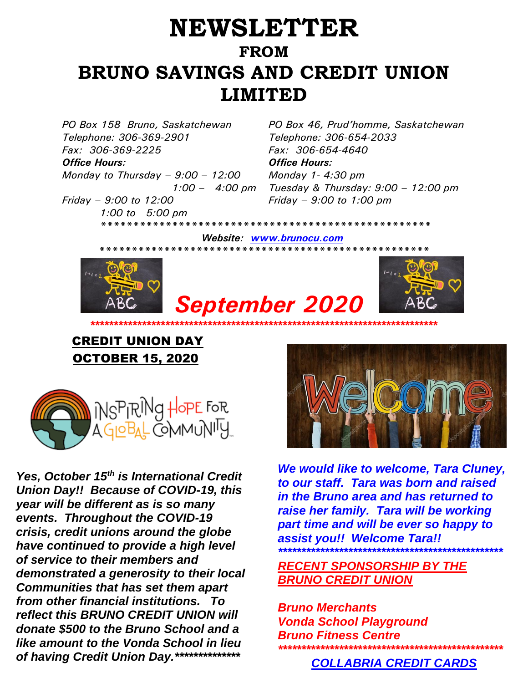## **NEWSLETTER FROM BRUNO SAVINGS AND CREDIT UNION LIMITED**

*Telephone: 306-369-2901 Fax: 306-369-2225* 

*Office Hours: Office Hours: Monday to Thursday – 9:00 – 12:00 1:00 – 4:00 pm*

*Friday – 9:00 to 12:00 1:00 to 5:00 pm*

*PO Box 158 Bruno, Saskatchewan PO Box 46, Prud'homme, Saskatchewan Telephone: 306-654-2033 Fax: 306-654-4640 Monday 1- 4:30 pm Tuesday & Thursday: 9:00 – 12:00 pm Friday – 9:00 to 1:00 pm*

 *\*\*\*\*\*\*\*\*\*\*\*\*\*\*\*\*\*\*\*\*\*\*\*\*\*\*\*\*\*\*\*\*\*\*\*\*\*\*\*\*\*\*\*\*\*\*\*\*\*\*\* Website: [www.brunocu.com](http://www.brunocu.com/) \*\*\*\*\*\*\*\*\*\*\*\*\*\*\*\*\*\*\*\*\*\*\*\*\*\*\*\*\*\*\*\*\*\*\*\*\*\*\*\*\*\*\*\*\*\*\*\*\*\*\** 







## CREDIT UNION DAY OCTOBER 15, 2020



*Yes, October 15th is International Credit Union Day!! Because of COVID-19, this year will be different as is so many events. Throughout the COVID-19 crisis, credit unions around the globe have continued to provide a high level of service to their members and demonstrated a generosity to their local Communities that has set them apart from other financial institutions. To reflect this BRUNO CREDIT UNION will donate \$500 to the Bruno School and a like amount to the Vonda School in lieu of having Credit Union Day.\*\*\*\*\*\*\*\*\*\*\*\*\*\**



*We would like to welcome, Tara Cluney, to our staff. Tara was born and raised in the Bruno area and has returned to raise her family. Tara will be working part time and will be ever so happy to assist you!! Welcome Tara!! \*\*\*\*\*\*\*\*\*\*\*\*\*\*\*\*\*\*\*\*\*\*\*\*\*\*\*\*\*\*\*\*\*\*\*\*\*\*\*\*\*\*\*\*\*\*\*\**

*RECENT SPONSORSHIP BY THE BRUNO CREDIT UNION*

*Bruno Merchants Vonda School Playground Bruno Fitness Centre \*\*\*\*\*\*\*\*\*\*\*\*\*\*\*\*\*\*\*\*\*\*\*\*\*\*\*\*\*\*\*\*\*\*\*\*\*\*\*\*\*\*\*\*\*\*\*\**

 *COLLABRIA CREDIT CARDS*